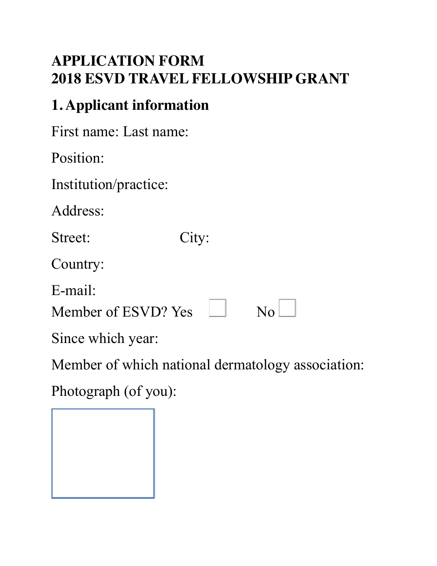### **APPLICATION FORM 2018 ESVD TRAVEL FELLOWSHIP GRANT**

## **1. Applicant information**

First name: Last name:

Position:

Institution/practice:

Address:

Street: City:

Country:

E-mail:

Member of ESVD? Yes  $\Box$  No

Since which year:

Member of which national dermatology association:

Photograph (of you):

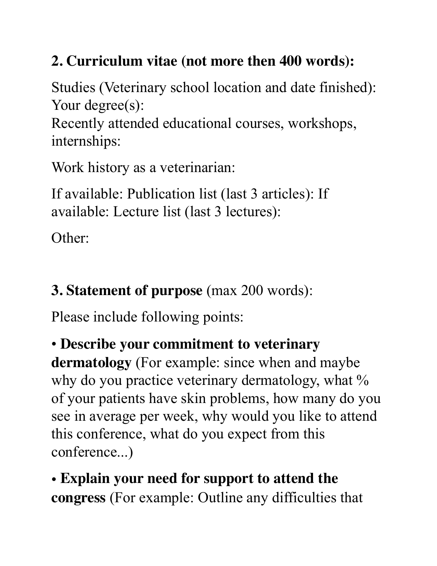## **2. Curriculum vitae (not more then 400 words):**

Studies (Veterinary school location and date finished): Your degree(s):

Recently attended educational courses, workshops, internships:

Work history as a veterinarian:

If available: Publication list (last 3 articles): If available: Lecture list (last 3 lectures):

Other:

# **3. Statement of purpose** (max 200 words):

Please include following points:

#### • **Describe your commitment to veterinary**

**dermatology** (For example: since when and maybe why do you practice veterinary dermatology, what % of your patients have skin problems, how many do you see in average per week, why would you like to attend this conference, what do you expect from this conference...)

## • **Explain your need for support to attend the congress** (For example: Outline any difficulties that